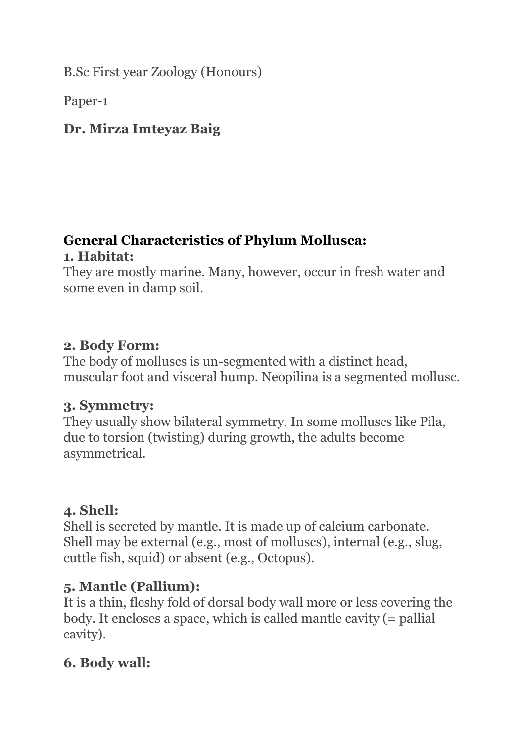B.Sc First year Zoology (Honours)

Paper-1

### **Dr. Mirza Imteyaz Baig**

#### **General Characteristics of Phylum Mollusca: 1. Habitat:**

They are mostly marine. Many, however, occur in fresh water and some even in damp soil.

#### **2. Body Form:**

The body of molluscs is un-segmented with a distinct head, muscular foot and visceral hump. Neopilina is a segmented mollusc.

#### **3. Symmetry:**

They usually show bilateral symmetry. In some molluscs like Pila, due to torsion (twisting) during growth, the adults become asymmetrical.

### **4. Shell:**

Shell is secreted by mantle. It is made up of calcium carbonate. Shell may be external (e.g., most of molluscs), internal (e.g., slug, cuttle fish, squid) or absent (e.g., Octopus).

### **5. Mantle (Pallium):**

It is a thin, fleshy fold of dorsal body wall more or less covering the body. It encloses a space, which is called mantle cavity (= pallial cavity).

### **6. Body wall:**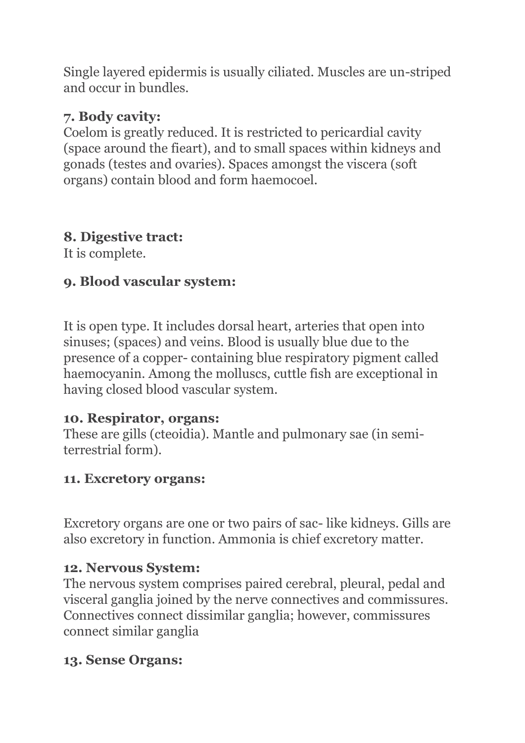Single layered epidermis is usually ciliated. Muscles are un-striped and occur in bundles.

## **7. Body cavity:**

Coelom is greatly reduced. It is restricted to pericardial cavity (space around the fieart), and to small spaces within kidneys and gonads (testes and ovaries). Spaces amongst the viscera (soft organs) contain blood and form haemocoel.

### **8. Digestive tract:**

It is complete.

## **9. Blood vascular system:**

It is open type. It includes dorsal heart, arteries that open into sinuses; (spaces) and veins. Blood is usually blue due to the presence of a copper- containing blue respiratory pigment called haemocyanin. Among the molluscs, cuttle fish are exceptional in having closed blood vascular system.

### **10. Respirator, organs:**

These are gills (cteoidia). Mantle and pulmonary sae (in semiterrestrial form).

### **11. Excretory organs:**

Excretory organs are one or two pairs of sac- like kidneys. Gills are also excretory in function. Ammonia is chief excretory matter.

### **12. Nervous System:**

The nervous system comprises paired cerebral, pleural, pedal and visceral ganglia joined by the nerve connectives and commissures. Connectives connect dissimilar ganglia; however, commissures connect similar ganglia

### **13. Sense Organs:**